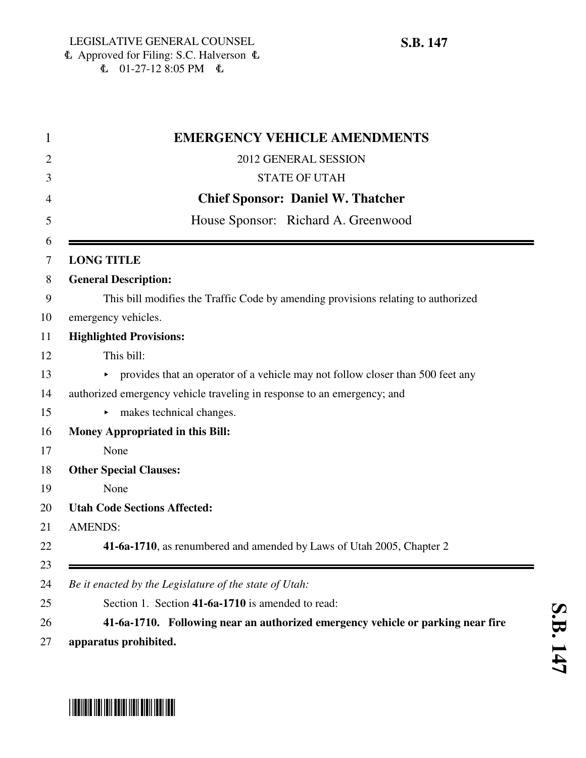| <b>EMERGENCY VEHICLE AMENDMENTS</b>                                               |
|-----------------------------------------------------------------------------------|
| 2012 GENERAL SESSION                                                              |
| <b>STATE OF UTAH</b>                                                              |
| <b>Chief Sponsor: Daniel W. Thatcher</b>                                          |
| House Sponsor: Richard A. Greenwood                                               |
|                                                                                   |
| <b>LONG TITLE</b>                                                                 |
| <b>General Description:</b>                                                       |
| This bill modifies the Traffic Code by amending provisions relating to authorized |
| emergency vehicles.                                                               |
| <b>Highlighted Provisions:</b>                                                    |
| This bill:                                                                        |
| • provides that an operator of a vehicle may not follow closer than 500 feet any  |
| authorized emergency vehicle traveling in response to an emergency; and           |
| makes technical changes.                                                          |
| <b>Money Appropriated in this Bill:</b>                                           |
| None                                                                              |
| <b>Other Special Clauses:</b>                                                     |
| None                                                                              |
| <b>Utah Code Sections Affected:</b>                                               |
| <b>AMENDS:</b>                                                                    |
| 41-6a-1710, as renumbered and amended by Laws of Utah 2005, Chapter 2             |
| Be it enacted by the Legislature of the state of Utah:                            |
| Section 1. Section 41-6a-1710 is amended to read:                                 |
| 41-6a-1710. Following near an authorized emergency vehicle or parking near fire   |